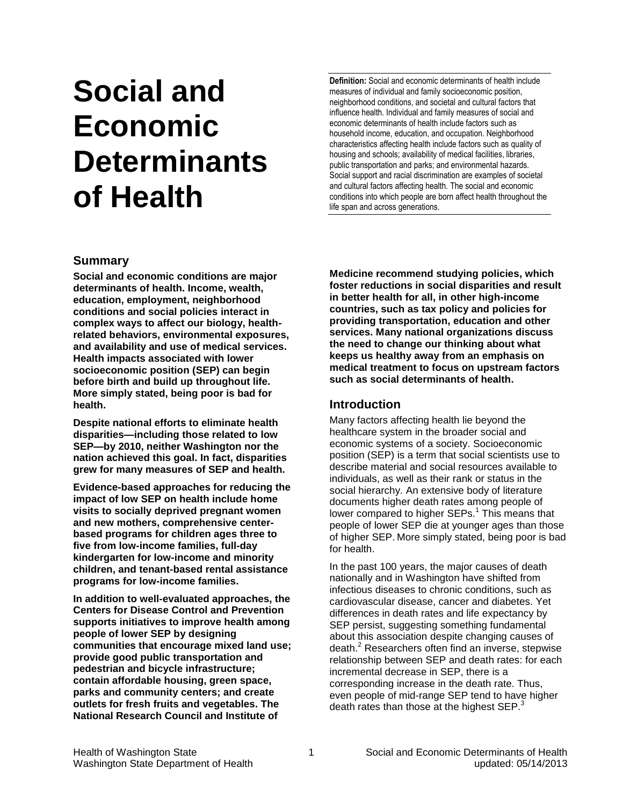# **Social and Economic Determinants of Health**

**Definition:** Social and economic determinants of health include measures of individual and family socioeconomic position, neighborhood conditions, and societal and cultural factors that influence health. Individual and family measures of social and economic determinants of health include factors such as household income, education, and occupation. Neighborhood characteristics affecting health include factors such as quality of housing and schools; availability of medical facilities, libraries, public transportation and parks; and environmental hazards. Social support and racial discrimination are examples of societal and cultural factors affecting health. The social and economic conditions into which people are born affect health throughout the life span and across generations.

## **Summary**

**Social and economic conditions are major determinants of health. Income, wealth, education, employment, neighborhood conditions and social policies interact in complex ways to affect our biology, healthrelated behaviors, environmental exposures, and availability and use of medical services. Health impacts associated with lower socioeconomic position (SEP) can begin before birth and build up throughout life. More simply stated, being poor is bad for health.**

**Despite national efforts to eliminate health disparities—including those related to low SEP—by 2010, neither Washington nor the nation achieved this goal. In fact, disparities grew for many measures of SEP and health.** 

**Evidence-based approaches for reducing the impact of low SEP on health include home visits to socially deprived pregnant women and new mothers, comprehensive centerbased programs for children ages three to five from low-income families, full-day kindergarten for low-income and minority children, and tenant-based rental assistance programs for low-income families.**

**In addition to well-evaluated approaches, the Centers for Disease Control and Prevention supports initiatives to improve health among people of lower SEP by designing communities that encourage mixed land use; provide good public transportation and pedestrian and bicycle infrastructure; contain affordable housing, green space, parks and community centers; and create outlets for fresh fruits and vegetables. The National Research Council and Institute of** 

**Medicine recommend studying policies, which foster reductions in social disparities and result in better health for all, in other high-income countries, such as tax policy and policies for providing transportation, education and other services. Many national organizations discuss the need to change our thinking about what keeps us healthy away from an emphasis on medical treatment to focus on upstream factors such as social determinants of health.**

## **Introduction**

Many factors affecting health lie beyond the healthcare system in the broader social and economic systems of a society. Socioeconomic position (SEP) is a term that social scientists use to describe material and social resources available to individuals, as well as their rank or status in the social hierarchy. An extensive body of literature documents higher death rates among people of lower compared to higher SEPs.<sup>[1](#page-6-0)</sup> This means that people of lower SEP die at younger ages than those of higher SEP. More simply stated, being poor is bad for health.

In the past 100 years, the major causes of death nationally and in Washington have shifted from infectious diseases to chronic conditions, such as cardiovascular disease, cancer and diabetes. Yet differences in death rates and life expectancy by SEP persist, suggesting something fundamental about this association despite changing causes of death.<sup>[2](#page-6-0)</sup> Researchers often find an inverse, stepwise relationship between SEP and death rates: for each incremental decrease in SEP, there is a corresponding increase in the death rate. Thus, even people of mid-range SEP tend to ha[ve](#page-6-0) higher death rates than those at the highest SEP.<sup>3</sup>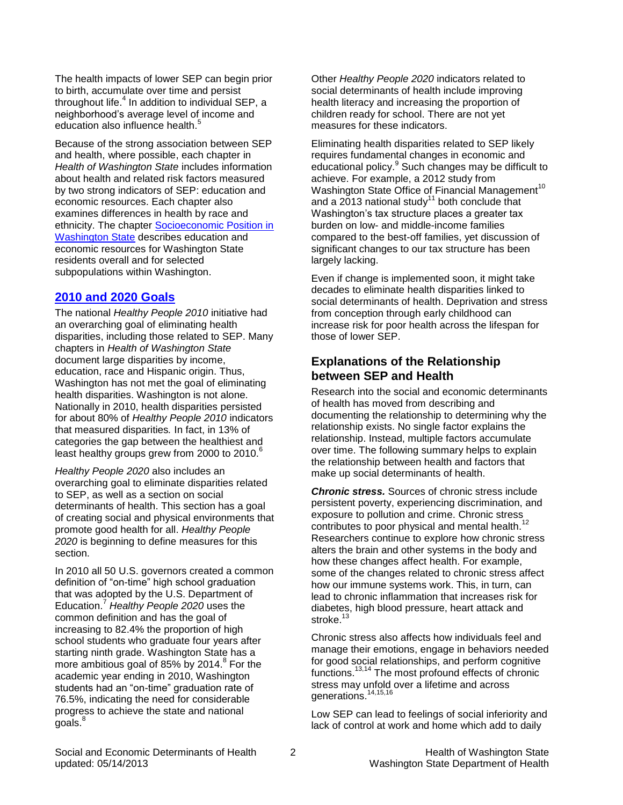The health impacts of lower SEP can begin prior to birth, accumulate over time and persist throughout life.<sup>[4](#page-6-0)</sup> In addition to individual SEP, a neighborhood's average level o[f i](#page-6-0)ncome and education also influence health.<sup>5</sup>

Because of the strong association between SEP and health, where possible, each chapter in *Health of Washington State* includes information about health and related risk factors measured by two strong indicators of SEP: education and economic resources. Each chapter also examines differences in health by race and ethnicity. The chapter [Socioeconomic Position in](http://www.doh.wa.gov/Portals/1/Documents/5500/Context-SEP2014.pdf)  [Washington State](http://www.doh.wa.gov/Portals/1/Documents/5500/Context-SEP2014.pdf) describes education and economic resources for Washington State residents overall and for selected subpopulations within Washington.

## **[2010 and 2020 Goals](http://www.doh.wa.gov/Portals/1/Documents/5500/AppA.pdf)**

The national *Healthy People 2010* initiative had an overarching goal of eliminating health disparities, including those related to SEP. Many chapters in *Health of Washington State*  document large disparities by income, education, race and Hispanic origin. Thus, Washington has not met the goal of eliminating health disparities. Washington is not alone. Nationally in 2010, health disparities persisted for about 80% of *Healthy People 2010* indicators that measured disparities*.* In fact, in 13% of categories the gap between the healthiest a[nd](#page-6-0)  least healthy groups grew from 2000 to 2010.<sup>6</sup>

*Healthy People 2020* also includes an overarching goal to eliminate disparities related to SEP, as well as a section on social determinants of health. This section has a goal of creating social and physical environments that promote good health for all. *Healthy People 2020* is beginning to define measures for this section.

In 2010 all 50 U.S. governors created a common definition of "on-time" high school graduation that was [ado](#page-6-0)pted by the U.S. Department of Education.<sup>7</sup> *Healthy People 2020* uses the common definition and has the goal of increasing to 82.4% the proportion of high school students who graduate four years after starting ninth grade. Washington State has a more ambitious goal of [8](#page-6-0)5% by 2014.<sup>8</sup> For the academic year ending in 2010, Washington students had an "on-time" graduation rate of 76.5%, indicating the need for considerable progr[es](#page-6-0)s to achieve the state and national goals.<sup>8</sup>

Other *Healthy People 2020* indicators related to social determinants of health include improving health literacy and increasing the proportion of children ready for school. There are not yet measures for these indicators.

Eliminating health disparities related to SEP likely requires fundamental changes in economic and educational policy.<sup>[9](#page-6-0)</sup> Such changes may be difficult to achieve. For example, a 2012 study from Washington State Office of Financial Management<sup>[10](#page-6-0)</sup> and a 2013 national study<sup>[11](#page-6-0)</sup> both conclude that Washington's tax structure places a greater tax burden on low- and middle-income families compared to the best-off families, yet discussion of significant changes to our tax structure has been largely lacking.

Even if change is implemented soon, it might take decades to eliminate health disparities linked to social determinants of health. Deprivation and stress from conception through early childhood can increase risk for poor health across the lifespan for those of lower SEP.

# **Explanations of the Relationship between SEP and Health**

Research into the social and economic determinants of health has moved from describing and documenting the relationship to determining why the relationship exists. No single factor explains the relationship. Instead, multiple factors accumulate over time. The following summary helps to explain the relationship between health and factors that make up social determinants of health.

*Chronic stress.* Sources of chronic stress include persistent poverty, experiencing discrimination, and exposure to pollution and crime. Chronic stress<br>contributes to poer physical and montal booth <sup>[12](#page-6-0)</sup> contributes to poor physical and mental health. Researchers continue to explore how chronic stress alters the brain and other systems in the body and how these changes affect health. For example, some of the changes related to chronic stress affect how our immune systems work. This, in turn, can lead to chronic inflammation that increases risk for diabetes, high blood pressure, heart attack and stroke.<sup>[13](#page-6-0)</sup>

Chronic stress also affects how individuals feel and manage their emotions, engage in behaviors needed for good social relationships, and perform cognitive functions. [13,14](#page-6-0) The most profound effects of chronic stress may unfold over a lifetime and across generations.<sup>[14,15,16](#page-6-0)</sup>

Low SEP can lead to feelings of social inferiority and lack of control at work and home which add to daily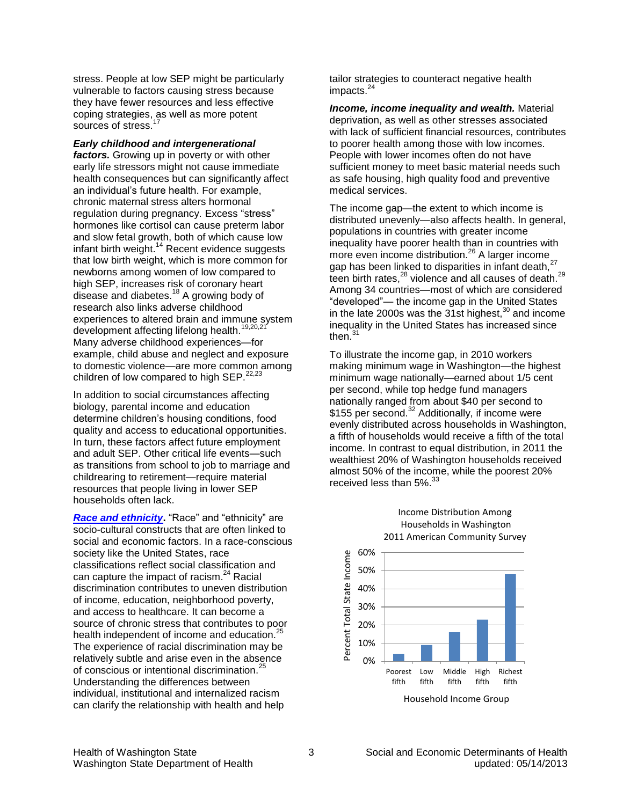stress. People at low SEP might be particularly vulnerable to factors causing stress because they have fewer resources and less effective coping strategies, as well as more potent sources of stress.

*Early childhood and intergenerational factors.* Growing up in poverty or with other early life stressors might not cause immediate health consequences but can significantly affect an individual's future health. For example, chronic maternal stress alters hormonal regulation during pregnancy. Excess "stress" hormones like cortisol can cause preterm labor and slow fetal growth, both of which cause low infant birth weight.<sup>[14](#page-6-0)</sup> Recent evidence suggests that low birth weight, which is more common for newborns among women of low compared to high SEP, increases risk of coronary heart disease and diabetes.<sup>[18](#page-6-0)</sup> A growing body of research also links adverse childhood experiences to altered brain and immune system development affecting lifelong health.<sup>[19,20,21](#page-7-0)</sup> Many adverse childhood experiences—for example, child abuse and neglect and exposure to domestic violence—are more common among children of low compared to high SEP. $22,23$ 

In addition to social circumstances affecting biology, parental income and education determine children's housing conditions, food quality and access to educational opportunities. In turn, these factors affect future employment and adult SEP. Other critical life events—such as transitions from school to job to marriage and childrearing to retirement—require material resources that people living in lower SEP households often lack.

**Race [and ethnicity](http://www.doh.wa.gov/Portals/1/Documents/5500/AppA.pdf).** "Race" and "ethnicity" are socio-cultural constructs that are often linked to social and economic factors. In a race-conscious society like the United States, race classifications reflect social classification and can capture the impact of racism.<sup>[24](#page-7-0)</sup> Racial discrimination contributes to uneven distribution of income, education, neighborhood poverty, and access to healthcare. It can become a source of chronic stress that contributes to poor health independent of income and education.<sup>2</sup> The experience of racial discrimination may be relatively subtle and arise even in the absence of conscious or intentional discrimination.[25](#page-7-0) Understanding the differences between individual, institutional and internalized racism can clarify the relationship with health and help

tailor strategies to counteract negative health impacts.<sup>[24](#page-7-0)</sup>

*Income, income inequality and wealth.* Material deprivation, as well as other stresses associated with lack of sufficient financial resources, contributes to poorer health among those with low incomes. People with lower incomes often do not have sufficient money to meet basic material needs such as safe housing, high quality food and preventive medical services.

The income gap—the extent to which income is distributed unevenly—also affects health. In general, populations in countries with greater income inequality have poorer health t[han](#page-7-0) in countries with more even income distribution.<sup>26</sup> A larger income gap has been linked to disparities in infant death,<sup>[27](#page-7-0)</sup> teen birth rates, $^{28}$  $^{28}$  $^{28}$  violence and all causes of death. $^{29}$  $^{29}$  $^{29}$ Among 34 countries—most of which are considered "developed"— the income gap in the United States in the late 2000s was the  $31$ st highest, $30$  and income ineq[ual](#page-7-0)ity in the United States has increased since then. $31$ 

To illustrate the income gap, in 2010 workers making minimum wage in Washington—the highest minimum wage nationally—earned about 1/5 cent per second, while top hedge fund managers nationally ranged from about \$40 per second to  $$155$  per second.<sup>[32](#page-8-0)</sup> Additionally, if income were evenly distributed across households in Washington, a fifth of households would receive a fifth of the total income. In contrast to equal distribution, in 2011 the wealthiest 20% of Washington households received almost 50% of the income, while the poorest 20% received less than 5%.<sup>[33](#page-7-0)</sup>



# Income Distribution Among Households in Washington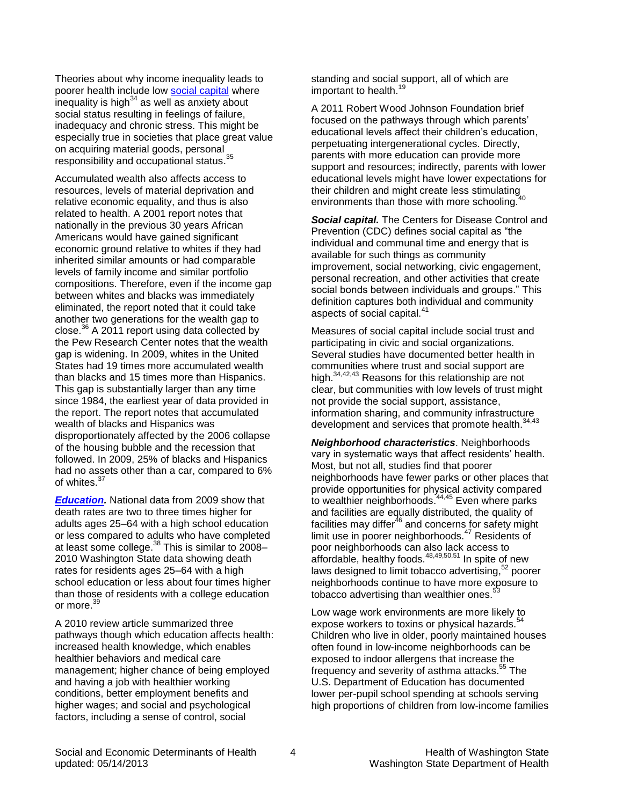Theories about why income inequality leads to poorer health include low [social capital](#page-3-0) where inequality is high<sup>[34](#page-7-0)</sup> as well as anxiety about social status resulting in feelings of failure, inadequacy and chronic stress. This might be especially true in societies that place great value on acquiring material goods, personal responsibility and occupational status.<sup>[35](#page-7-0)</sup>

Accumulated wealth also affects access to resources, levels of material deprivation and relative economic equality, and thus is also related to health. A 2001 report notes that nationally in the previous 30 years African Americans would have gained significant economic ground relative to whites if they had inherited similar amounts or had comparable levels of family income and similar portfolio compositions. Therefore, even if the income gap between whites and blacks was immediately eliminated, the report noted that it could take another two generations for the wealth gap to close. $36$  A 2011 report using data collected by the Pew Research Center notes that the wealth gap is widening. In 2009, whites in the United States had 19 times more accumulated wealth than blacks and 15 times more than Hispanics. This gap is substantially larger than any time since 1984, the earliest year of data provided in the report. The report notes that accumulated wealth of blacks and Hispanics was disproportionately affected by the 2006 collapse of the housing bubble and the recession that followed. In 2009, 25% of blacks and Hispanics had no assets other than a car, compared to 6% of whites.<sup>[37](#page-7-0)</sup>

*[Education.](http://www.doh.wa.gov/Portals/1/Documents/5500/AppA.pdf)* National data from 2009 show that death rates are two to three times higher for adults ages 25–64 with a high school education or less compared to adults who have completed at least some college. $^{38}$  $^{38}$  $^{38}$  This is similar to 2008– 2010 Washington State data showing death rates for residents ages 25–64 with a high school education or less about four times higher than those of residents with a college education or more.[39](#page-7-0)

A 2010 review article summarized three pathways though which education affects health: increased health knowledge, which enables healthier behaviors and medical care management; higher chance of being employed and having a job with healthier working conditions, better employment benefits and higher wages; and social and psychological factors, including a sense of control, social

standing and social support, all of which are important to health. [19](#page-7-0)

A 2011 Robert Wood Johnson Foundation brief focused on the pathways through which parents' educational levels affect their children's education, perpetuating intergenerational cycles. Directly, parents with more education can provide more support and resources; indirectly, parents with lower educational levels might have lower expectations for their children and might create less stimulating<br>covironments than these with more schooling <sup>[40](#page-7-0)</sup> environments than those with more schooling.

<span id="page-3-0"></span>**Social capital.** The Centers for Disease Control and Prevention (CDC) defines social capital as "the individual and communal time and energy that is available for such things as community improvement, social networking, civic engagement, personal recreation, and other activities that create social bonds between individuals and groups." This definition captures both individual and community aspects of social capital.<sup>[41](#page-7-0)</sup>

Measures of social capital include social trust and participating in civic and social organizations. Several studies have documented better health in communities where trust and social support are high.<sup>[34,42,43](#page-7-0)</sup> Reasons for this relationship are not clear, but communities with low levels of trust might not provide the social support, assistance, information sharing, and community infrastructure development and services that promote health.<sup>[34,43](#page-7-0)</sup>

*Neighborhood characteristics*. Neighborhoods vary in systematic ways that affect residents' health. Most, but not all, studies find that poorer neighborhoods have fewer parks or other places that provide opportunities for physical activity compared to wealthier neighborhoods.<sup>[44,45](#page-7-0)</sup> Even where parks and facilities are equally distributed, the quality of facilities may differ<sup>[46](#page-7-0)</sup> and concerns for safety might limit use in poorer neighborhoods.<sup>[47](#page-7-0)</sup> Residents of poor neighborhoods can also lack access to affordable, healthy foods.[48,49,50,51](#page-8-0) In spite [of n](#page-8-0)ew laws designed to limit tobacco advertising, 52 poorer neighborhoods continue to have more [expo](#page-8-0)sure to tobacco advertising than wealthier ones. $53$ 

Low wage work environments are more likely to expose workers to toxins or physical hazards.<sup>5</sup> Children who live in older, poorly maintained houses often found in low-income neighborhoods can be exposed to indoor allergens that increase the frequency and severity of asthma attacks. [55](#page-8-0) The U.S. Department of Education has documented lower per-pupil school spending at schools serving high proportions of children from low-income families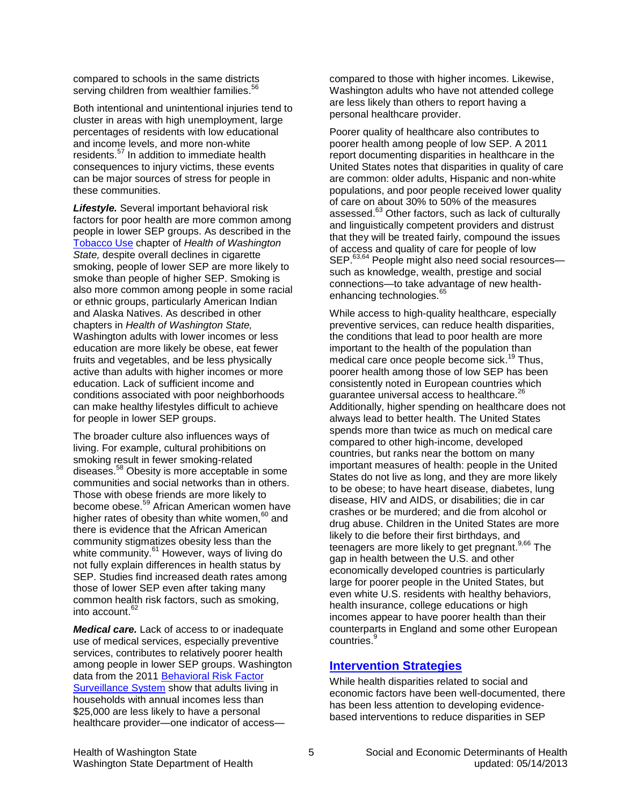compared to schools in the same districts serving children from wealthier families.<sup>[56](#page-8-0)</sup>

Both intentional and unintentional injuries tend to cluster in areas with high unemployment, large percentages of residents with low educational and income levels, and more non-white residents.<sup>[57](#page-8-0)</sup> In addition to immediate health consequences to injury victims, these events can be major sources of stress for people in these communities.

*Lifestyle.* Several important behavioral risk factors for poor health are more common among people in lower SEP groups. As described in the [Tobacco Use](http://www.doh.wa.gov/Portals/1/Documents/5500/RPF-Tob2012.pdf) chapter of *Health of Washington State,* despite overall declines in cigarette smoking, people of lower SEP are more likely to smoke than people of higher SEP. Smoking is also more common among people in some racial or ethnic groups, particularly American Indian and Alaska Natives. As described in other chapters in *Health of Washington State,*  Washington adults with lower incomes or less education are more likely be obese, eat fewer fruits and vegetables, and be less physically active than adults with higher incomes or more education. Lack of sufficient income and conditions associated with poor neighborhoods can make healthy lifestyles difficult to achieve for people in lower SEP groups.

The broader culture also influences ways of living. For example, cultural prohibitions on smoking result in fewer smoking-related diseases.[58](#page-8-0) Obesity is more acceptable in some communities and social networks than in others. Those with obese friends are more likely to become obese. [59](#page-8-0) African American women have higher rates of obesity than white women,  $60$  and there is evidence that the African American community stigm[atiz](#page-8-0)es obesity less than the white community.<sup>61</sup> However, ways of living do not fully explain differences in health status by SEP. Studies find increased death rates among those of lower SEP even after taking many common health risk factors, such as smoking, into account. [62](#page-8-0)

*Medical care.* Lack of access to or inadequate use of medical services, especially preventive services, contributes to relatively poorer health among people in lower SEP groups. Washington data from the 2011 [Behavioral Risk Factor](http://www.doh.wa.gov/Portals/1/Documents/5500/AppB.pdf)  [Surveillance System](http://www.doh.wa.gov/Portals/1/Documents/5500/AppB.pdf) show that adults living in households with annual incomes less than \$25,000 are less likely to have a personal healthcare provider—one indicator of accesscompared to those with higher incomes. Likewise, Washington adults who have not attended college are less likely than others to report having a personal healthcare provider.

Poorer quality of healthcare also contributes to poorer health among people of low SEP. A 2011 report documenting disparities in healthcare in the United States notes that disparities in quality of care are common: older adults, Hispanic and non-white populations, and poor people received lower quality of care o[n ab](#page-8-0)out 30% to 50% of the measures assessed.<sup>63</sup> Other factors, such as lack of culturally and linguistically competent providers and distrust that they will be treated fairly, compound the issues of access and quality of care for people of low SEP.<sup>[63,64](#page-8-0)</sup> People might also need social resourcessuch as knowledge, wealth, prestige and social connections—to take advantage of new health-enhancing technologies.<sup>[65](#page-8-0)</sup>

While access to high-quality healthcare, especially preventive services, can reduce health disparities, the conditions that lead to poor health are more important to the health of the population than medical care once people become sick. [19](#page-7-0) Thus, poorer health among those of low SEP has been consistently noted in European countries which guarantee universal access to healthcare.<sup>2</sup> Additionally, higher spending on healthcare does not always lead to better health. The United States spends more than twice as much on medical care compared to other high-income, developed countries, but ranks near the bottom on many important measures of health: people in the United States do not live as long, and they are more likely to be obese; to have heart disease, diabetes, lung disease, HIV and AIDS, or disabilities; die in car crashes or be murdered; and die from alcohol or drug abuse. Children in the United States are more likely to die before their first birthdays, and teenagers are more likely to get pregnant.<sup>[9,](#page-6-0)[66](#page-8-0)</sup> The gap in health between the U.S. and other economically developed countries is particularly large for poorer people in the United States, but even white U.S. residents with healthy behaviors, health insurance, college educations or high incomes appear to have poorer health than their counterparts in England and some other European countries.<sup>[9](#page-6-0)</sup>

# **[Intervention Strategies](http://www.doh.wa.gov/Portals/1/Documents/5500/AppA.pdf)**

While health disparities related to social and economic factors have been well-documented, there has been less attention to developing evidencebased interventions to reduce disparities in SEP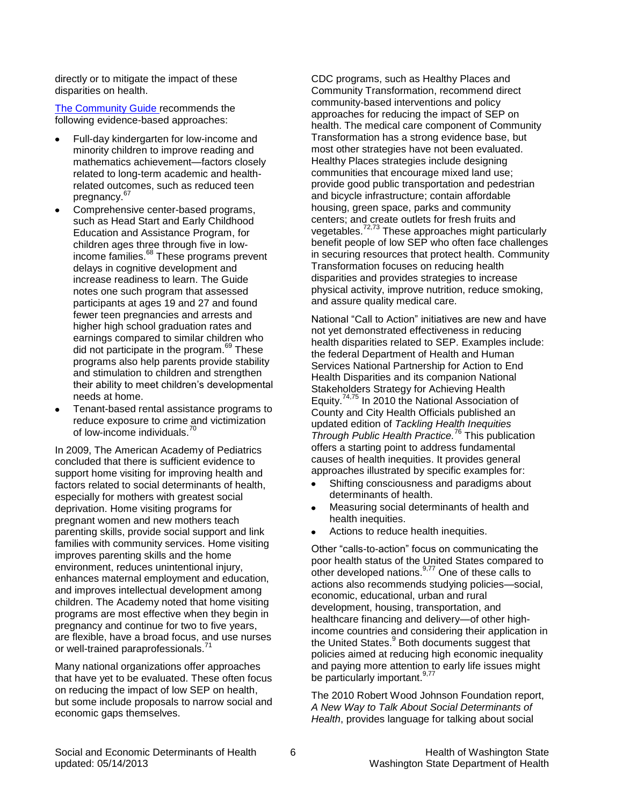directly or to mitigate the impact of these disparities on health.

[The Community Guide r](http://www.thecommunityguide.org/index.html)ecommends the following evidence-based approaches:

- Full-day kindergarten for low-income and minority children to improve reading and mathematics achievement—factors closely related to long-term academic and healthrelated outcomes, such as reduced teen pregnancy.<sup>[67](#page-8-0)</sup>
- Comprehensive center-based programs, such as Head Start and Early Childhood Education and Assistance Program, for children ages three through five in lowincome families. [68](#page-8-0) These programs prevent delays in cognitive development and increase readiness to learn. The Guide notes one such program that assessed participants at ages 19 and 27 and found fewer teen pregnancies and arrests and higher high school graduation rates and earnings compared to similar children who did not participate in the program. $69$  These programs also help parents provide stability and stimulation to children and strengthen their ability to meet children's developmental needs at home.
- Tenant-based rental assistance programs to reduce exposure to crime and victimization of low-income individuals.<sup>[70](#page-8-0)</sup>

In 2009, The American Academy of Pediatrics concluded that there is sufficient evidence to support home visiting for improving health and factors related to social determinants of health, especially for mothers with greatest social deprivation. Home visiting programs for pregnant women and new mothers teach parenting skills, provide social support and link families with community services. Home visiting improves parenting skills and the home environment, reduces unintentional injury, enhances maternal employment and education, and improves intellectual development among children. The Academy noted that home visiting programs are most effective when they begin in pregnancy and continue for two to five years, are flexible, have a broad focus, and use nurses or well-trained paraprofessionals.<sup>[71](#page-8-0)</sup>

Many national organizations offer approaches that have yet to be evaluated. These often focus on reducing the impact of low SEP on health, but some include proposals to narrow social and economic gaps themselves.

CDC programs, such as Healthy Places and Community Transformation, recommend direct community-based interventions and policy approaches for reducing the impact of SEP on health. The medical care component of Community Transformation has a strong evidence base, but most other strategies have not been evaluated. Healthy Places strategies include designing communities that encourage mixed land use; provide good public transportation and pedestrian and bicycle infrastructure; contain affordable housing, green space, parks and community centers; and create outlets for fresh fruits and vegetables.<sup>[72,73](#page-8-0)</sup> These approaches might particularly benefit people of low SEP who often face challenges in securing resources that protect health. Community Transformation focuses on reducing health disparities and provides strategies to increase physical activity, improve nutrition, reduce smoking, and assure quality medical care.

National "Call to Action" initiatives are new and have not yet demonstrated effectiveness in reducing health disparities related to SEP. Examples include: the federal Department of Health and Human Services National Partnership for Action to End Health Disparities and its companion National Stakeholders Strategy for Achieving Health Equity. [74,75](#page-8-0) In 2010 the National Association of County and City Health Officials published an updated edition of *Tackling Health Inequities Through Public Health Practice.* [76](#page-8-0) This publication offers a starting point to address fundamental causes of health inequities. It provides general approaches illustrated by specific examples for:

- Shifting consciousness and paradigms about determinants of health.
- Measuring social determinants of health and health inequities.
- Actions to reduce health inequities.  $\bullet$

Other "calls-to-action" focus on communicating the poor health status of the United States compared to other developed nations. $9.77$  $9.77$  One of these calls to actions also recommends studying policies—social, economic, educational, urban and rural development, housing, transportation, and healthcare financing and delivery—of other highincome countries [an](#page-6-0)d considering their application in the United States.<sup>9</sup> Both documents suggest that policies aimed at reducing high economic inequality and paying more attention to early life issues might be particularly important.<sup>[9](#page-6-0)[,77](#page-9-0)</sup>

The 2010 Robert Wood Johnson Foundation report, *A New Way to Talk About Social Determinants of Health*, provides language for talking about social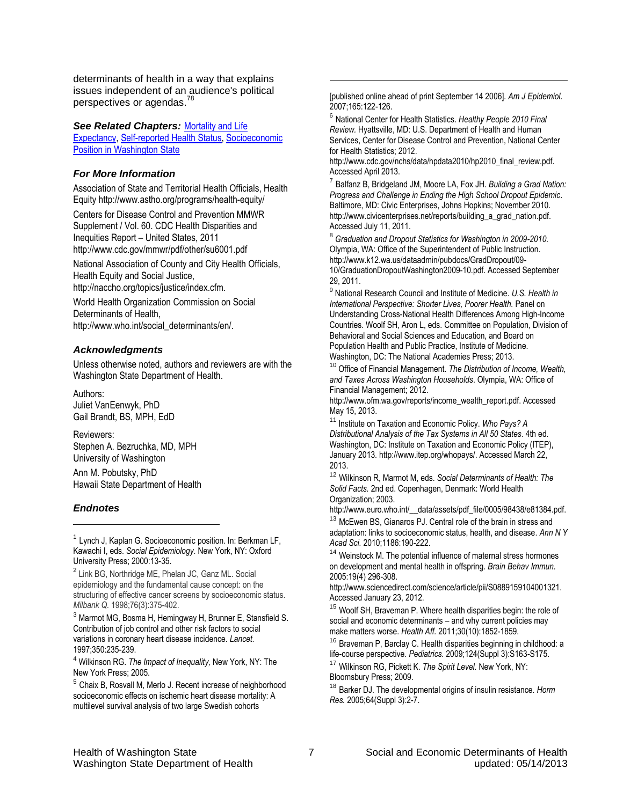<span id="page-6-0"></span>determinants of health in a way that explains issues independent of an audience's political perspectives or agendas.<sup>[78](#page-9-0)</sup>

*See Related Chapters:* [Mortality and Life](http://www.doh.wa.gov/Portals/1/Documents/5500/GHS-MLE2013.pdf) 

[Expectancy,](http://www.doh.wa.gov/Portals/1/Documents/5500/GHS-MLE2013.pdf) [Self-reported Health Status,](http://www.doh.wa.gov/Portals/1/Documents/5500/GHS-SRHS2012.pdf) [Socioeconomic](http://www.doh.wa.gov/Portals/1/Documents/5500/Context-SEP2014.pdf)  [Position in Washington State](http://www.doh.wa.gov/Portals/1/Documents/5500/Context-SEP2014.pdf)

## *For More Information*

Association of State and Territorial Health Officials, Health Equity http://www.astho.org/programs/health-equity/

Centers for Disease Control and Prevention MMWR Supplement / Vol. 60. CDC Health Disparities and Inequities Report – United States, 2011 http://www.cdc.gov/mmwr/pdf/other/su6001.pdf

National Association of County and City Health Officials, Health Equity and Social Justice,

http://naccho.org/topics/justice/index.cfm.

World Health Organization Commission on Social Determinants of Health, http://www.who.int/social\_determinants/en/.

## *Acknowledgments*

Unless otherwise noted, authors and reviewers are with the Washington State Department of Health.

Authors: Juliet VanEenwyk, PhD Gail Brandt, BS, MPH, EdD

Reviewers: Stephen A. Bezruchka, MD, MPH University of Washington

Ann M. Pobutsky, PhD Hawaii State Department of Health

## *Endnotes*

l

<sup>1</sup> Lynch J, Kaplan G. Socioeconomic position. In: Berkman LF, Kawachi I, eds. *Social Epidemiology*. New York, NY: Oxford University Press; 2000:13-35.

<sup>2</sup> Link BG, Northridge ME, Phelan JC, Ganz ML. Social epidemiology and the fundamental cause concept: on the structuring of effective cancer screens by socioeconomic status. *Milbank Q.* 1998;76(3):375-402.

<sup>3</sup> Marmot MG, Bosma H, Hemingway H, Brunner E, Stansfield S. Contribution of job control and other risk factors to social variations in coronary heart disease incidence. *Lancet*. 1997;350:235-239.

<sup>4</sup> Wilkinson RG. *The Impact of Inequality,* New York, NY: The New York Press; 2005.

<sup>5</sup> Chaix B, Rosvall M, Merlo J. Recent increase of neighborhood socioeconomic effects on ischemic heart disease mortality: A multilevel survival analysis of two large Swedish cohorts

[published online ahead of print September 14 2006]. *Am J Epidemiol.*  2007;165:122-126.

l

6 National Center for Health Statistics. *Healthy People 2010 Final Review.* Hyattsville, MD: U.S. Department of Health and Human Services, Center for Disease Control and Prevention, National Center for Health Statistics; 2012.

http://www.cdc.gov/nchs/data/hpdata2010/hp2010\_final\_review.pdf. Accessed April 2013.

7 Balfanz B, Bridgeland JM, Moore LA, Fox JH. *Building a Grad Nation: Progress and Challenge in Ending the High School Dropout Epidemic*. Baltimore, MD: Civic Enterprises, Johns Hopkins; November 2010. http://www.civicenterprises.net/reports/building\_a\_grad\_nation.pdf. Accessed July 11, 2011.

8 *Graduation and Dropout Statistics for Washington in 2009-2010*. Olympia, WA: Office of the Superintendent of Public Instruction. http://www.k12.wa.us/dataadmin/pubdocs/GradDropout/09- 10/GraduationDropoutWashington2009-10.pdf. Accessed September 29, 2011.

9 National Research Council and Institute of Medicine. *U.S. Health in International Perspective: Shorter Lives, Poorer Health.* Panel on Understanding Cross-National Health Differences Among High-Income Countries. Woolf SH, Aron L, eds. Committee on Population, Division of Behavioral and Social Sciences and Education, and Board on Population Health and Public Practice, Institute of Medicine. Washington, DC: The National Academies Press; 2013.

<sup>10</sup> Office of Financial Management. *The Distribution of Income, Wealth, and Taxes Across Washington Households*. Olympia, WA: Office of Financial Management; 2012.

http://www.ofm.wa.gov/reports/income\_wealth\_report.pdf. Accessed May 15, 2013.

<sup>11</sup> Institute on Taxation and Economic Policy. *Who Pays? A Distributional Analysis of the Tax Systems in All 50 States*. 4th ed. Washington, DC: Institute on Taxation and Economic Policy (ITEP), January 2013. http://www.itep.org/whopays/. Accessed March 22, 2013.

<sup>12</sup> Wilkinson R, Marmot M, eds. *Social Determinants of Health: The Solid Facts.* 2nd ed. Copenhagen, Denmark: World Health Organization; 2003.

http://www.euro.who.int/\_\_data/assets/pdf\_file/0005/98438/e81384.pdf.

<sup>13</sup> McEwen BS, Gianaros PJ. Central role of the brain in stress and adaptation: links to socioeconomic status, health, and disease. *Ann N Y Acad Sci.* 2010;1186:190-222.

<sup>14</sup> Weinstock M. The potential influence of maternal stress hormones on development and mental health in offspring. *Brain Behav Immun.*  2005:19(4) 296-308.

http://www.sciencedirect.com/science/article/pii/S0889159104001321. Accessed January 23, 2012.

<sup>15</sup> Woolf SH, Braveman P. Where health disparities begin: the role of social and economic determinants – and why current policies may make matters worse. *Health Aff.* 2011;30(10):1852-1859.

<sup>16</sup> Braveman P, Barclay C. Health disparities beginning in childhood: a life-course perspective. *Pediatrics.* 2009;124(Suppl 3):S163-S175.

<sup>17</sup> Wilkinson RG, Pickett K. *The Spirit Level.* New York, NY: Bloomsbury Press; 2009.

<sup>18</sup> Barker DJ. The developmental origins of insulin resistance. *Horm Res.* 2005;64(Suppl 3):2-7.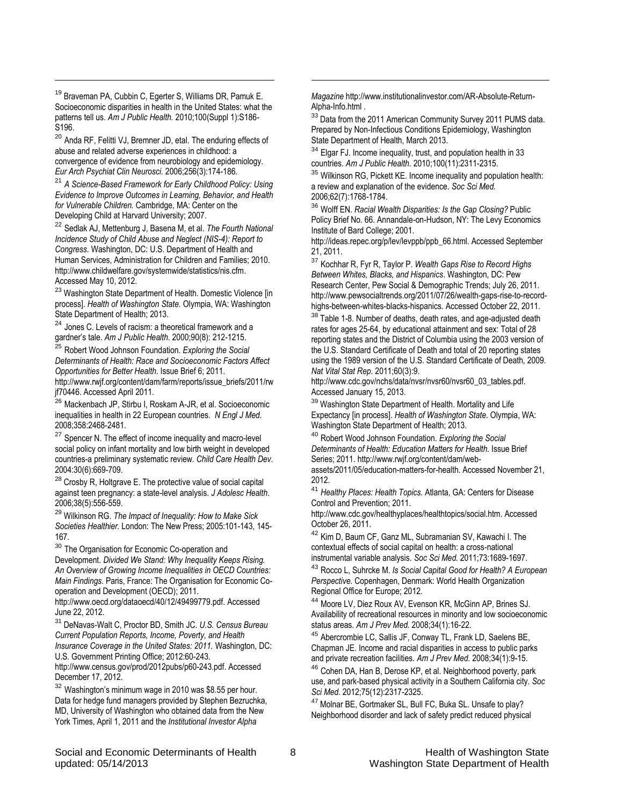<sup>19</sup> Braveman PA, Cubbin C, Egerter S, Williams DR, Pamuk E. Socioeconomic disparities in health in the United States: what the patterns tell us. *Am J Public Health.* 2010;100(Suppl 1):S186- S196.

<span id="page-7-0"></span>l

<sup>20</sup> Anda RF, Felitti VJ, Bremner JD, etal. The enduring effects of abuse and related adverse experiences in childhood: a convergence of evidence from neurobiology and epidemiology. *Eur Arch Psychiat Clin Neurosci.* 2006;256(3):174-186.

<sup>21</sup> *A Science-Based Framework for Early Childhood Policy: Using Evidence to Improve Outcomes in Learning, Behavior, and Health for Vulnerable Children.* Cambridge, MA: Center on the Developing Child at Harvard University; 2007.

<sup>22</sup> Sedlak AJ, Mettenburg J, Basena M, et al. *The Fourth National Incidence Study of Child Abuse and Neglect (NIS-4): Report to Congress.* Washington, DC: U.S. Department of Health and Human Services, Administration for Children and Families; 2010. http://www.childwelfare.gov/systemwide/statistics/nis.cfm. Accessed May 10, 2012.

<sup>23</sup> Washington State Department of Health. Domestic Violence [in process]. *Health of Washington State.* Olympia, WA: Washington State Department of Health; 2013.

<sup>24</sup> Jones C. Levels of racism: a theoretical framework and a gardner's tale. *Am J Public Health*. 2000;90(8): 212-1215.

<sup>25</sup> Robert Wood Johnson Foundation. *Exploring the Social Determinants of Health: Race and Socioeconomic Factors Affect Opportunities for Better Health*. Issue Brief 6; 2011.

http://www.rwjf.org/content/dam/farm/reports/issue\_briefs/2011/rw jf70446. Accessed April 2011.

<sup>26</sup> Mackenbach JP, Stirbu I, Roskam A-JR, et al. Socioeconomic inequalities in health in 22 European countries. *N Engl J Med.* 2008;358:2468-2481.

<sup>27</sup> Spencer N. The effect of income inequality and macro-level social policy on infant mortality and low birth weight in developed countries-a preliminary systematic review. *Child Care Health Dev*. 2004:30(6):669-709.

<sup>28</sup> Crosby R, Holtgrave E. The protective value of social capital against teen pregnancy: a state-level analysis. *J Adolesc Health*. 2006;38(5):556-559.

<sup>29</sup> Wilkinson RG. *The Impact of Inequality: How to Make Sick Societies Healthier.* London: The New Press; 2005:101-143, 145- 167.

<sup>30</sup> The Organisation for Economic Co-operation and Development. *Divided We Stand: Why Inequality Keeps Rising. An Overview of Growing Income Inequalities in OECD Countries: Main Findings.* Paris, France: The Organisation for Economic Cooperation and Development (OECD); 2011.

http://www.oecd.org/dataoecd/40/12/49499779.pdf. Accessed June 22, 2012.

<sup>31</sup> DeNavas-Walt C, Proctor BD, Smith JC. *U.S. Census Bureau Current Population Reports, Income, Poverty, and Health Insurance Coverage in the United States: 2011.* Washington, DC:

U.S. Government Printing Office; 2012:60-243. http://www.census.gov/prod/2012pubs/p60-243.pdf. Accessed December 17, 2012.

<sup>32</sup> Washington's minimum wage in 2010 was \$8.55 per hour. Data for hedge fund managers provided by Stephen Bezruchka, MD, University of Washington who obtained data from the New York Times, April 1, 2011 and the *Institutional Investor Alpha* 

*Magazine* http://www.institutionalinvestor.com/AR-Absolute-Return-Alpha-Info.html .

l

<sup>33</sup> Data from the 2011 American Community Survey 2011 PUMS data. Prepared by Non-Infectious Conditions Epidemiology, Washington State Department of Health, March 2013.

<sup>34</sup> Elgar FJ. Income inequality, trust, and population health in 33 countries. *Am J Public Health.* 2010;100(11):2311-2315.

<sup>35</sup> Wilkinson RG, Pickett KE. Income inequality and population health: a review and explanation of the evidence. *Soc Sci Med.* 2006;62(7):1768-1784.

<sup>36</sup> Wolff EN. *Racial Wealth Disparities: Is the Gap Closing?* Public Policy Brief No. 66. Annandale-on-Hudson, NY: The Levy Economics Institute of Bard College; 2001.

http://ideas.repec.org/p/lev/levppb/ppb\_66.html. Accessed September 21, 2011.

<sup>37</sup> Kochhar R, Fyr R, Taylor P. *Wealth Gaps Rise to Record Highs Between Whites, Blacks, and Hispanics*. Washington, DC: Pew Research Center, Pew Social & Demographic Trends; July 26, 2011. http://www.pewsocialtrends.org/2011/07/26/wealth-gaps-rise-to-recordhighs-between-whites-blacks-hispanics. Accessed October 22, 2011.

<sup>38</sup> Table 1-8. Number of deaths, death rates, and age-adjusted death rates for ages 25-64, by educational attainment and sex: Total of 28 reporting states and the District of Columbia using the 2003 version of the U.S. Standard Certificate of Death and total of 20 reporting states using the 1989 version of the U.S. Standard Certificate of Death, 2009. *Nat Vital Stat Rep*. 2011;60(3):9.

http://www.cdc.gov/nchs/data/nvsr/nvsr60/nvsr60\_03\_tables.pdf. Accessed January 15, 2013.

<sup>39</sup> Washington State Department of Health. Mortality and Life Expectancy [in process]. *Health of Washington State*. Olympia, WA: Washington State Department of Health; 2013.

<sup>40</sup> Robert Wood Johnson Foundation. *Exploring the Social Determinants of Health: Education Matters for Health.* Issue Brief Series; 2011. http://www.rwjf.org/content/dam/web-

assets/2011/05/education-matters-for-health. Accessed November 21, 2012.

<sup>41</sup> *Healthy Places: Health Topics.* Atlanta, GA: Centers for Disease Control and Prevention; 2011.

http://www.cdc.gov/healthyplaces/healthtopics/social.htm. Accessed October 26, 2011.

<sup>42</sup> Kim D, Baum CF, Ganz ML, Subramanian SV, Kawachi I. The contextual effects of social capital on health: a cross-national instrumental variable analysis. *Soc Sci Med.* 2011;73:1689-1697.

<sup>43</sup> Rocco L, Suhrcke M. *Is Social Capital Good for Health? A European Perspective.* Copenhagen, Denmark: World Health Organization Regional Office for Europe; 2012.

<sup>44</sup> Moore LV, Diez Roux AV, Evenson KR, McGinn AP, Brines SJ. Availability of recreational resources in minority and low socioeconomic status areas. *Am J Prev Med.* 2008;34(1):16-22.

<sup>45</sup> Abercrombie LC, Sallis JF, Conway TL, Frank LD, Saelens BE, Chapman JE. Income and racial disparities in access to public parks and private recreation facilities. *Am J Prev Med.* 2008;34(1):9-15.

<sup>46</sup> Cohen DA, Han B, Derose KP, et al. Neighborhood poverty, park use, and park-based physical activity in a Southern California city. *Soc Sci Med.* 2012;75(12):2317-2325.

47 Molnar BE, Gortmaker SL, Bull FC, Buka SL. Unsafe to play? Neighborhood disorder and lack of safety predict reduced physical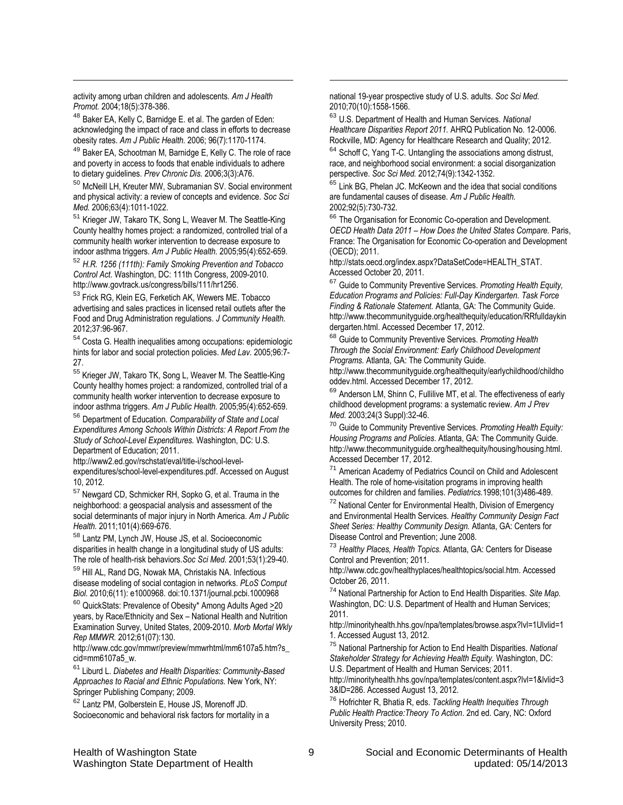activity among urban children and adolescents. *Am J Health Promot.* 2004;18(5):378-386.

<span id="page-8-0"></span>l

<sup>48</sup> Baker EA, Kelly C, Barnidge E. et al. The garden of Eden: acknowledging the impact of race and class in efforts to decrease obesity rates. *Am J Public Health.* 2006; 96(7):1170-1174.

49 Baker EA, Schootman M, Barnidge E, Kelly C. The role of race and poverty in access to foods that enable individuals to adhere to dietary guidelines. *Prev Chronic Dis.* 2006;3(3):A76.

<sup>50</sup> McNeill LH, Kreuter MW, Subramanian SV. Social environment and physical activity: a review of concepts and evidence. *Soc Sci Med.* 2006;63(4):1011-1022.

<sup>51</sup> Krieger JW, Takaro TK, Song L, Weaver M. The Seattle-King County healthy homes project: a randomized, controlled trial of a community health worker intervention to decrease exposure to indoor asthma triggers. *Am J Public Health.* 2005;95(4):652-659.

<sup>52</sup> *H.R. 1256 (111th): Family Smoking Prevention and Tobacco Control Act*. Washington, DC: 111th Congress, 2009-2010. http://www.govtrack.us/congress/bills/111/hr1256.

<sup>53</sup> Frick RG, Klein EG, Ferketich AK, Wewers ME. Tobacco advertising and sales practices in licensed retail outlets after the Food and Drug Administration regulations. *J Community Health.*  2012;37:96-967.

<sup>54</sup> Costa G. Health inequalities among occupations: epidemiologic hints for labor and social protection policies. *Med Lav.* 2005;96:7- 27.

<sup>55</sup> Krieger JW, Takaro TK, Song L, Weaver M. The Seattle-King County healthy homes project: a randomized, controlled trial of a community health worker intervention to decrease exposure to indoor asthma triggers. *Am J Public Health.* 2005;95(4):652-659.

<sup>56</sup> Department of Education. *Comparability of State and Local Expenditures Among Schools Within Districts: A Report From the Study of School-Level Expenditures.* Washington, DC: U.S. Department of Education; 2011.

http://www2.ed.gov/rschstat/eval/title-i/school-levelexpenditures/school-level-expenditures.pdf. Accessed on August 10, 2012.

<sup>57</sup> Newgard CD, Schmicker RH, Sopko G, et al. Trauma in the neighborhood: a geospacial analysis and assessment of the social determinants of major injury in North America. *Am J Public Health.* 2011;101(4):669-676.

<sup>58</sup> Lantz PM, Lynch JW, House JS, et al. Socioeconomic disparities in health change in a longitudinal study of US adults: The role of health-risk behaviors.*Soc Sci Med.* 2001;53(1):29-40.

<sup>59</sup> Hill AL, Rand DG, Nowak MA, Christakis NA. Infectious disease modeling of social contagion in networks. *PLoS Comput Biol.* 2010;6(11): e1000968. doi:10.1371/journal.pcbi.1000968

<sup>60</sup> QuickStats: Prevalence of Obesity<sup>\*</sup> Among Adults Aged >20 years, by Race/Ethnicity and Sex – National Health and Nutrition Examination Survey, United States, 2009-2010. *Morb Mortal Wkly Rep MMWR.* 2012;61(07):130.

http://www.cdc.gov/mmwr/preview/mmwrhtml/mm6107a5.htm?s\_ cid=mm6107a5\_w.

<sup>61</sup> Liburd L. *Diabetes and Health Disparities: Community-Based Approaches to Racial and Ethnic Populations.* New York, NY: Springer Publishing Company; 2009.

<sup>62</sup> Lantz PM, Golberstein E, House JS, Morenoff JD. Socioeconomic and behavioral risk factors for mortality in a national 19-year prospective study of U.S. adults. *Soc Sci Med.* 2010;70(10):1558-1566.

l

<sup>63</sup> U.S. Department of Health and Human Services. *National Healthcare Disparities Report 2011.* AHRQ Publication No. 12-0006. Rockville, MD: Agency for Healthcare Research and Quality; 2012.

<sup>64</sup> Schoff C, Yang T-C. Untangling the associations among distrust, race, and neighborhood social environment: a social disorganization perspective. *Soc Sci Med.* 2012;74(9):1342-1352.

<sup>65</sup> Link BG, Phelan JC. McKeown and the idea that social conditions are fundamental causes of disease. *Am J Public Health.* 2002;92(5):730-732.

<sup>66</sup> The Organisation for Economic Co-operation and Development. *OECD Health Data 2011 – How Does the United States Compare.* Paris, France: The Organisation for Economic Co-operation and Development (OECD); 2011.

http://stats.oecd.org/index.aspx?DataSetCode=HEALTH\_STAT. Accessed October 20, 2011.

<sup>67</sup> Guide to Community Preventive Services. *Promoting Health Equity, Education Programs and Policies: Full-Day Kindergarten. Task Force Finding & Rationale Statement.* Atlanta, GA: The Community Guide. http://www.thecommunityguide.org/healthequity/education/RRfulldaykin dergarten.html. Accessed December 17, 2012.

<sup>68</sup> Guide to Community Preventive Services. *Promoting Health Through the Social Environment: Early Childhood Development Programs.* Atlanta, GA: The Community Guide.

http://www.thecommunityguide.org/healthequity/earlychildhood/childho oddev.html. Accessed December 17, 2012.

69 Anderson LM, Shinn C, Fullilive MT, et al. The effectiveness of early childhood development programs: a systematic review. *Am J Prev Med.* 2003;24(3 Suppl):32-46.

<sup>70</sup> Guide to Community Preventive Services. *Promoting Health Equity: Housing Programs and Policies.* Atlanta, GA: The Community Guide. http://www.thecommunityguide.org/healthequity/housing/housing.html. Accessed December 17, 2012.

<sup>71</sup> American Academy of Pediatrics Council on Child and Adolescent Health. The role of home-visitation programs in improving health outcomes for children and families. *Pediatrics.*1998;101(3)486-489.

<sup>72</sup> National Center for Environmental Health, Division of Emergency and Environmental Health Services. *Healthy Community Design Fact Sheet Series: Healthy Community Design.* Atlanta, GA: Centers for Disease Control and Prevention; June 2008.

<sup>73</sup> *Healthy Places, Health Topics.* Atlanta, GA: Centers for Disease Control and Prevention; 2011.

http://www.cdc.gov/healthyplaces/healthtopics/social.htm. Accessed October 26, 2011.

<sup>74</sup> National Partnership for Action to End Health Disparities. *Site Map.*  Washington, DC: U.S. Department of Health and Human Services; 2011.

http://minorityhealth.hhs.gov/npa/templates/browse.aspx?lvl=1Ulvlid=1 1. Accessed August 13, 2012.

<sup>75</sup> National Partnership for Action to End Health Disparities. *National Stakeholder Strategy for Achieving Health Equity.* Washington, DC: U.S. Department of Health and Human Services; 2011.

http://minorityhealth.hhs.gov/npa/templates/content.aspx?lvl=1&lvlid=3 3&ID=286. Accessed August 13, 2012.

<sup>76</sup> Hofrichter R, Bhatia R, eds. *Tackling Health Inequities Through Public Health Practice:Theory To Action*. 2nd ed. Cary, NC: Oxford University Press; 2010.